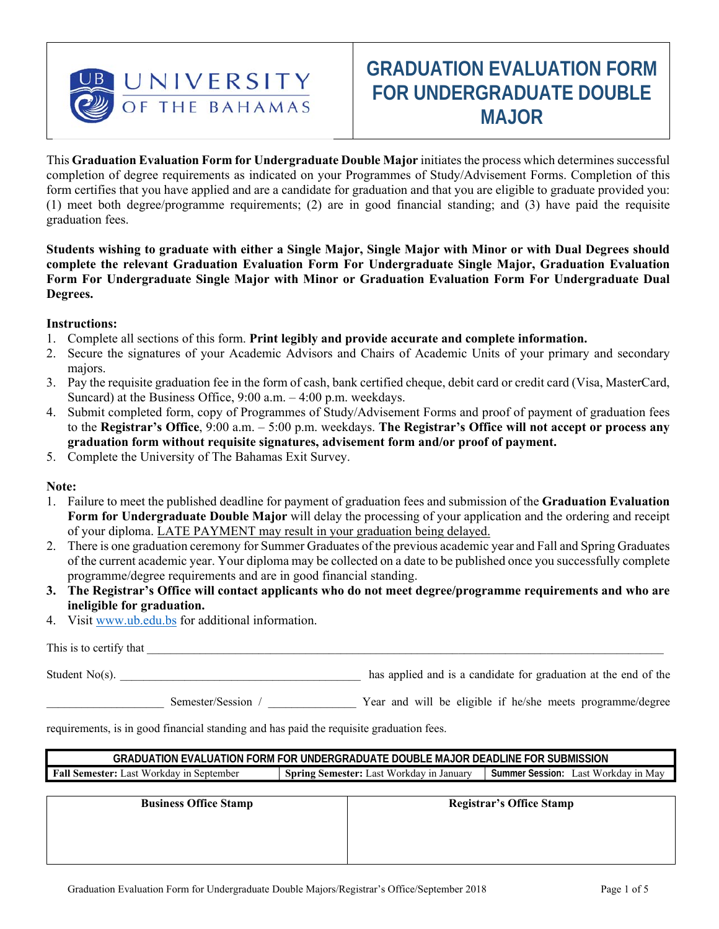

# **GRADUATION EVALUATION FORM FOR UNDERGRADUATE DOUBLE MAJOR**

This **Graduation Evaluation Form for Undergraduate Double Major** initiates the process which determines successful completion of degree requirements as indicated on your Programmes of Study/Advisement Forms. Completion of this form certifies that you have applied and are a candidate for graduation and that you are eligible to graduate provided you: (1) meet both degree/programme requirements; (2) are in good financial standing; and (3) have paid the requisite graduation fees.

**Students wishing to graduate with either a Single Major, Single Major with Minor or with Dual Degrees should complete the relevant Graduation Evaluation Form For Undergraduate Single Major, Graduation Evaluation Form For Undergraduate Single Major with Minor or Graduation Evaluation Form For Undergraduate Dual Degrees.** 

#### **Instructions:**

- 1. Complete all sections of this form. **Print legibly and provide accurate and complete information.**
- 2. Secure the signatures of your Academic Advisors and Chairs of Academic Units of your primary and secondary majors.
- 3. Pay the requisite graduation fee in the form of cash, bank certified cheque, debit card or credit card (Visa, MasterCard, Suncard) at the Business Office, 9:00 a.m. – 4:00 p.m. weekdays.
- 4. Submit completed form, copy of Programmes of Study/Advisement Forms and proof of payment of graduation fees to the **Registrar's Office**, 9:00 a.m. – 5:00 p.m. weekdays. **The Registrar's Office will not accept or process any graduation form without requisite signatures, advisement form and/or proof of payment.**
- 5. Complete the University of The Bahamas Exit Survey.

## **Note:**

- 1. Failure to meet the published deadline for payment of graduation fees and submission of the **Graduation Evaluation Form for Undergraduate Double Major** will delay the processing of your application and the ordering and receipt of your diploma. LATE PAYMENT may result in your graduation being delayed.
- 2. There is one graduation ceremony for Summer Graduates of the previous academic year and Fall and Spring Graduates of the current academic year. Your diploma may be collected on a date to be published once you successfully complete programme/degree requirements and are in good financial standing.
- **3. The Registrar's Office will contact applicants who do not meet degree/programme requirements and who are ineligible for graduation.**
- 4. Visit www.ub.edu.bs for additional information.

This is to certify that \_\_\_\_\_\_\_\_\_\_\_\_\_\_\_\_\_\_\_\_\_\_\_\_\_\_\_\_\_\_\_\_\_\_\_\_\_\_\_\_\_\_\_\_\_\_\_\_\_\_\_\_\_\_\_\_\_\_\_\_\_\_\_\_\_\_\_\_\_\_\_\_\_\_\_\_\_\_\_\_\_\_\_\_\_\_\_\_

Student No(s).  $\Box$  has applied and is a candidate for graduation at the end of the

Semester/Session /  $\gamma$  Year and will be eligible if he/she meets programme/degree

requirements, is in good financial standing and has paid the requisite graduation fees.

| GRADUATION EVALUATION FORM FOR UNDERGRADUATE DOUBLE MAJOR DEADLINE FOR SUBMISSION |                                                         |                                               |  |
|-----------------------------------------------------------------------------------|---------------------------------------------------------|-----------------------------------------------|--|
| <b>Fall Semester:</b><br>. Last Workdav ın '<br>. September                       | . .ast<br>Spring<br>Semester: 1<br>: Workdav in Januarv | a Workdav in Mav<br>Summer<br>Session:<br>ast |  |

| <b>Business Office Stamp</b> | <b>Registrar's Office Stamp</b> |
|------------------------------|---------------------------------|
|                              |                                 |
|                              |                                 |
|                              |                                 |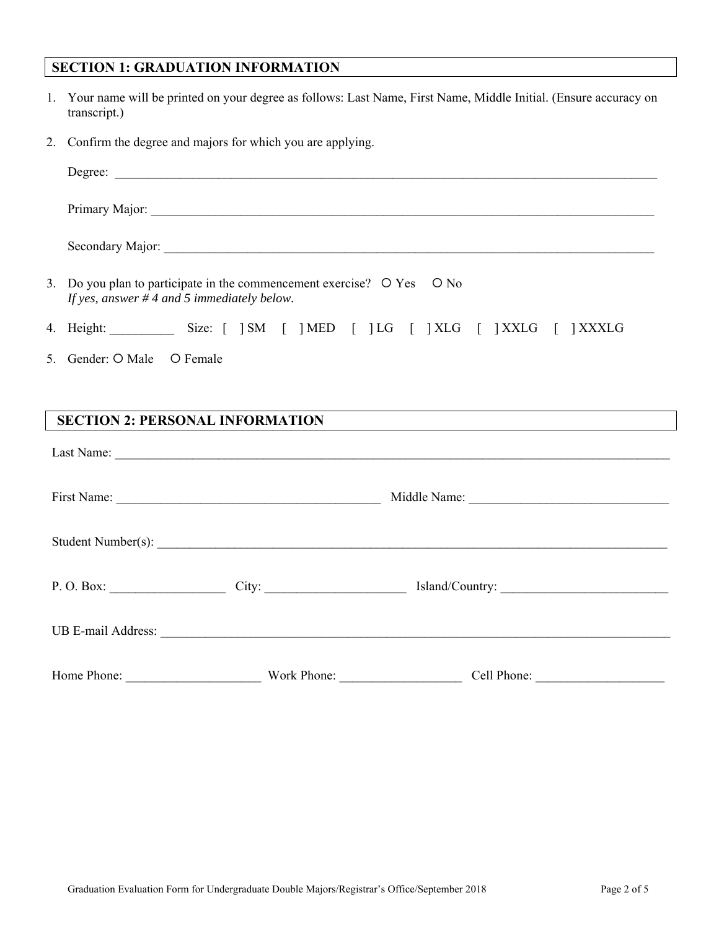## **SECTION 1: GRADUATION INFORMATION**

- 1. Your name will be printed on your degree as follows: Last Name, First Name, Middle Initial. (Ensure accuracy on transcript.)
- 2. Confirm the degree and majors for which you are applying.

|                            | 3. Do you plan to participate in the commencement exercise? O Yes O No<br>If yes, answer $#$ 4 and 5 immediately below. |                                                                                                                       |  |
|----------------------------|-------------------------------------------------------------------------------------------------------------------------|-----------------------------------------------------------------------------------------------------------------------|--|
|                            |                                                                                                                         | 4. Height: Size: [ ]SM [ ]MED [ ]LG [ ]XLG [ ]XXLG [ ]XXXLG                                                           |  |
| 5. Gender: O Male O Female |                                                                                                                         |                                                                                                                       |  |
|                            | <b>SECTION 2: PERSONAL INFORMATION</b>                                                                                  | <u> 1989 - Johann Stoff, deutscher Stoff, der Stoff, der Stoff, der Stoff, der Stoff, der Stoff, der Stoff, der S</u> |  |
|                            |                                                                                                                         |                                                                                                                       |  |
|                            |                                                                                                                         |                                                                                                                       |  |
|                            |                                                                                                                         |                                                                                                                       |  |
|                            |                                                                                                                         | P.O.Box: City: City: Sland/Country:                                                                                   |  |
|                            |                                                                                                                         |                                                                                                                       |  |
| Home Phone:                | Work Phone:                                                                                                             | Cell Phone:                                                                                                           |  |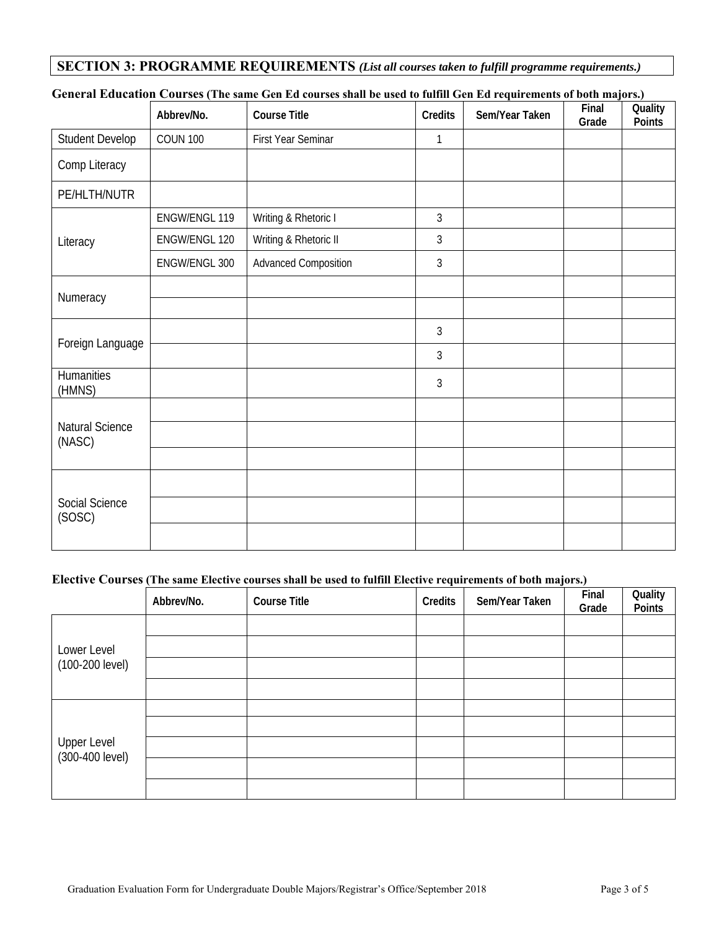## **SECTION 3: PROGRAMME REQUIREMENTS** *(List all courses taken to fulfill programme requirements.)*

|                           | Abbrev/No.           | <b>Course Title</b>         | Credits        | Sem/Year Taken | Final<br>Grade | Quality<br>Points |
|---------------------------|----------------------|-----------------------------|----------------|----------------|----------------|-------------------|
| <b>Student Develop</b>    | <b>COUN 100</b>      | First Year Seminar          | 1              |                |                |                   |
| Comp Literacy             |                      |                             |                |                |                |                   |
| PE/HLTH/NUTR              |                      |                             |                |                |                |                   |
|                           | <b>ENGW/ENGL 119</b> | Writing & Rhetoric I        | $\mathfrak{Z}$ |                |                |                   |
| Literacy                  | ENGW/ENGL 120        | Writing & Rhetoric II       | 3              |                |                |                   |
|                           | ENGW/ENGL 300        | <b>Advanced Composition</b> | $\mathfrak{Z}$ |                |                |                   |
| Numeracy                  |                      |                             |                |                |                |                   |
|                           |                      |                             |                |                |                |                   |
|                           |                      |                             | $\mathfrak{Z}$ |                |                |                   |
| Foreign Language          |                      |                             | 3              |                |                |                   |
| Humanities<br>(HMNS)      |                      |                             | $\mathfrak{Z}$ |                |                |                   |
|                           |                      |                             |                |                |                |                   |
| Natural Science<br>(NASC) |                      |                             |                |                |                |                   |
|                           |                      |                             |                |                |                |                   |
|                           |                      |                             |                |                |                |                   |
| Social Science<br>(SOSC)  |                      |                             |                |                |                |                   |
|                           |                      |                             |                |                |                |                   |

### **General Education Courses (The same Gen Ed courses shall be used to fulfill Gen Ed requirements of both majors.)**

## **Elective Courses (The same Elective courses shall be used to fulfill Elective requirements of both majors.)**

|                                | Abbrev/No. | <b>Course Title</b> | Credits | Sem/Year Taken | Final<br>Grade | Quality<br>Points |
|--------------------------------|------------|---------------------|---------|----------------|----------------|-------------------|
|                                |            |                     |         |                |                |                   |
| Lower Level                    |            |                     |         |                |                |                   |
| (100-200 level)                |            |                     |         |                |                |                   |
|                                |            |                     |         |                |                |                   |
|                                |            |                     |         |                |                |                   |
|                                |            |                     |         |                |                |                   |
| Upper Level<br>(300-400 level) |            |                     |         |                |                |                   |
|                                |            |                     |         |                |                |                   |
|                                |            |                     |         |                |                |                   |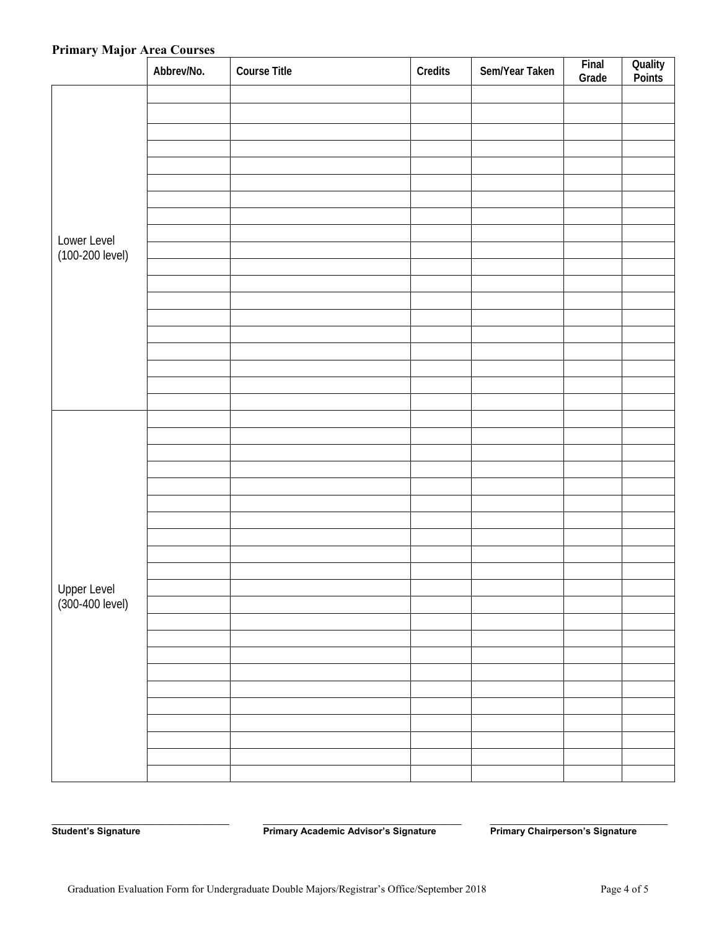#### **Primary Major Area Courses**

| $\ddot{\phantom{a}}$<br>$\ddot{\phantom{0}}$ | Abbrev/No. | <b>Course Title</b> | Credits | Sem/Year Taken | Final<br>Grade | Quality<br>Points |
|----------------------------------------------|------------|---------------------|---------|----------------|----------------|-------------------|
|                                              |            |                     |         |                |                |                   |
|                                              |            |                     |         |                |                |                   |
|                                              |            |                     |         |                |                |                   |
|                                              |            |                     |         |                |                |                   |
|                                              |            |                     |         |                |                |                   |
|                                              |            |                     |         |                |                |                   |
|                                              |            |                     |         |                |                |                   |
|                                              |            |                     |         |                |                |                   |
| Lower Level                                  |            |                     |         |                |                |                   |
| (100-200 level)                              |            |                     |         |                |                |                   |
|                                              |            |                     |         |                |                |                   |
|                                              |            |                     |         |                |                |                   |
|                                              |            |                     |         |                |                |                   |
|                                              |            |                     |         |                |                |                   |
|                                              |            |                     |         |                |                |                   |
|                                              |            |                     |         |                |                |                   |
|                                              |            |                     |         |                |                |                   |
|                                              |            |                     |         |                |                |                   |
|                                              |            |                     |         |                |                |                   |
|                                              |            |                     |         |                |                |                   |
|                                              |            |                     |         |                |                |                   |
|                                              |            |                     |         |                |                |                   |
|                                              |            |                     |         |                |                |                   |
|                                              |            |                     |         |                |                |                   |
|                                              |            |                     |         |                |                |                   |
|                                              |            |                     |         |                |                |                   |
|                                              |            |                     |         |                |                |                   |
|                                              |            |                     |         |                |                |                   |
|                                              |            |                     |         |                |                |                   |
| Upper Level<br>(300-400 level)               |            |                     |         |                |                |                   |
|                                              |            |                     |         |                |                |                   |
|                                              |            |                     |         |                |                |                   |
|                                              |            |                     |         |                |                |                   |
|                                              |            |                     |         |                |                |                   |
|                                              |            |                     |         |                |                |                   |
|                                              |            |                     |         |                |                |                   |
|                                              |            |                     |         |                |                |                   |
|                                              |            |                     |         |                |                |                   |
|                                              |            |                     |         |                |                |                   |
|                                              |            |                     |         |                |                |                   |

Student's Signature **Primary Academic Advisor's Signature** Primary Chairperson's Signature

\_\_\_\_\_\_\_\_\_\_\_\_\_\_\_\_\_\_\_\_\_\_\_\_\_\_\_\_\_\_\_\_\_\_ \_\_\_\_\_\_\_\_\_\_\_\_\_\_\_\_\_\_\_\_\_\_\_\_\_\_\_\_\_\_\_\_\_\_\_\_\_\_ \_\_\_\_\_\_\_\_\_\_\_\_\_\_\_\_\_\_\_\_\_\_\_\_\_\_\_\_\_\_\_\_\_\_